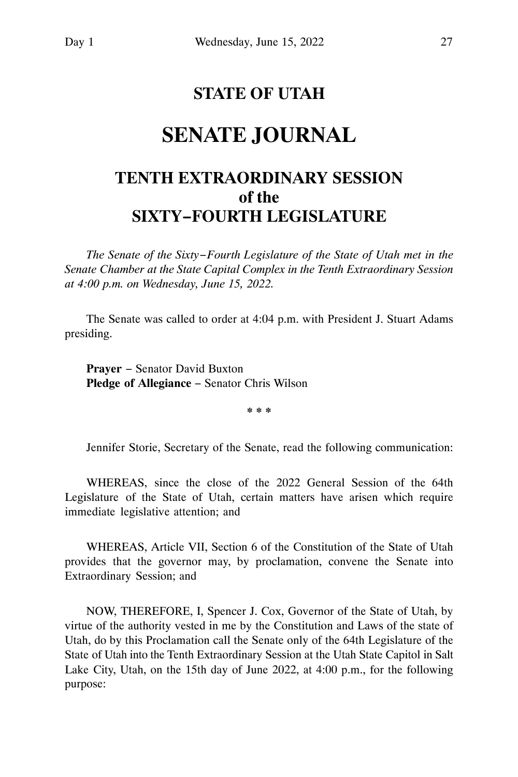# **STATE OF UTAH**

# **SENATE JOURNAL**

# **TENTH EXTRAORDINARY SESSION of the SIXTY−FOURTH LEGISLATURE**

*The Senate of the Sixty−Fourth Legislature of the State of Utah met in the Senate Chamber at the State Capital Complex in the Tenth Extraordinary Session at 4:00 p.m. on Wednesday, June 15, 2022.*

The Senate was called to order at 4:04 p.m. with President J. Stuart Adams presiding.

**Prayer** − Senator David Buxton **Pledge of Allegiance** − Senator Chris Wilson

**\* \* \***

Jennifer Storie, Secretary of the Senate, read the following communication:

WHEREAS, since the close of the 2022 General Session of the 64th Legislature of the State of Utah, certain matters have arisen which require immediate legislative attention; and

WHEREAS, Article VII, Section 6 of the Constitution of the State of Utah provides that the governor may, by proclamation, convene the Senate into Extraordinary Session; and

NOW, THEREFORE, I, Spencer J. Cox, Governor of the State of Utah, by virtue of the authority vested in me by the Constitution and Laws of the state of Utah, do by this Proclamation call the Senate only of the 64th Legislature of the State of Utah into the Tenth Extraordinary Session at the Utah State Capitol in Salt Lake City, Utah, on the 15th day of June 2022, at 4:00 p.m., for the following purpose: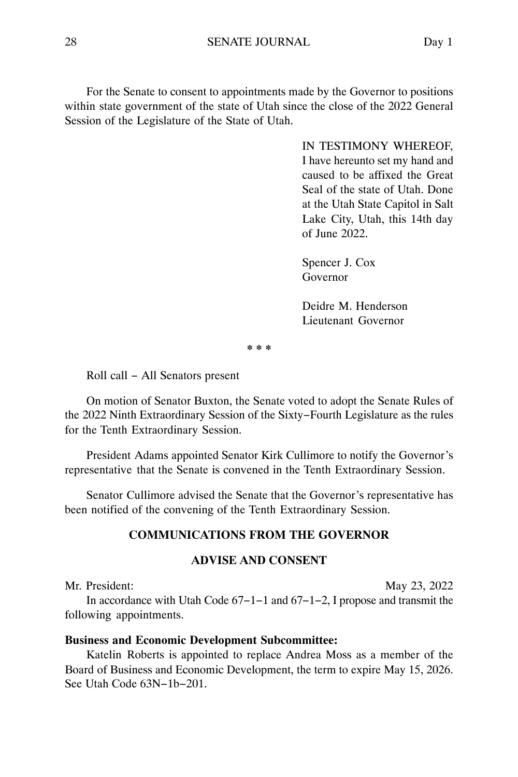For the Senate to consent to appointments made by the Governor to positions within state government of the state of Utah since the close of the 2022 General Session of the Legislature of the State of Utah.

> IN TESTIMONY WHEREOF, I have hereunto set my hand and caused to be affixed the Great Seal of the state of Utah. Done at the Utah State Capitol in Salt Lake City, Utah, this 14th day of June 2022.

Spencer J. Cox Governor

Deidre M. Henderson Lieutenant Governor

**\* \* \***

Roll call − All Senators present

On motion of Senator Buxton, the Senate voted to adopt the Senate Rules of the 2022 Ninth Extraordinary Session of the Sixty−Fourth Legislature as the rules for the Tenth Extraordinary Session.

President Adams appointed Senator Kirk Cullimore to notify the Governor's representative that the Senate is convened in the Tenth Extraordinary Session.

Senator Cullimore advised the Senate that the Governor's representative has been notified of the convening of the Tenth Extraordinary Session.

# **COMMUNICATIONS FROM THE GOVERNOR**

#### **ADVISE AND CONSENT**

Mr. President: May 23, 2022 In accordance with Utah Code 67−1−1 and 67−1−2, I propose and transmit the following appointments.

#### **Business and Economic Development Subcommittee:**

Katelin Roberts is appointed to replace Andrea Moss as a member of the Board of Business and Economic Development, the term to expire May 15, 2026. See Utah Code 63N−1b−201.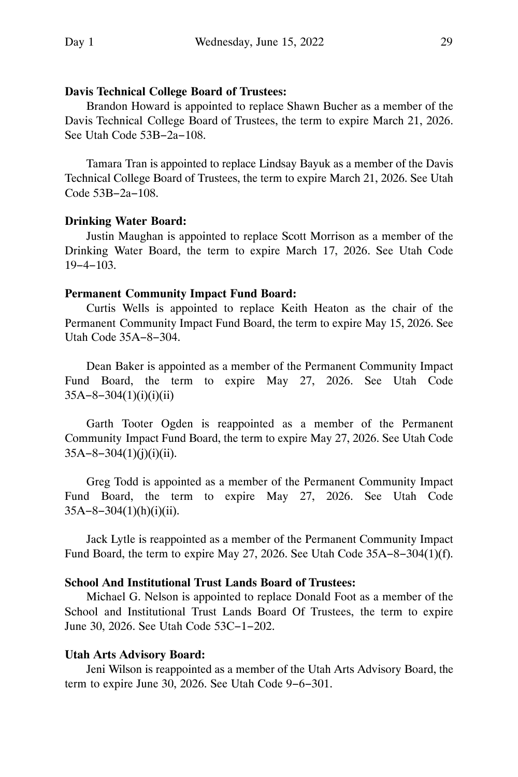# **Davis Technical College Board of Trustees:**

Brandon Howard is appointed to replace Shawn Bucher as a member of the Davis Technical College Board of Trustees, the term to expire March 21, 2026. See Utah Code 53B−2a−108.

Tamara Tran is appointed to replace Lindsay Bayuk as a member of the Davis Technical College Board of Trustees, the term to expire March 21, 2026. See Utah Code 53B−2a−108.

### **Drinking Water Board:**

Justin Maughan is appointed to replace Scott Morrison as a member of the Drinking Water Board, the term to expire March 17, 2026. See Utah Code 19−4−103.

### **Permanent Community Impact Fund Board:**

Curtis Wells is appointed to replace Keith Heaton as the chair of the Permanent Community Impact Fund Board, the term to expire May 15, 2026. See Utah Code 35A−8−304.

Dean Baker is appointed as a member of the Permanent Community Impact Fund Board, the term to expire May 27, 2026. See Utah Code 35A−8−304(1)(i)(i)(ii)

Garth Tooter Ogden is reappointed as a member of the Permanent Community Impact Fund Board, the term to expire May 27, 2026. See Utah Code 35A−8−304(1)(j)(i)(ii).

Greg Todd is appointed as a member of the Permanent Community Impact Fund Board, the term to expire May 27, 2026. See Utah Code 35A−8−304(1)(h)(i)(ii).

Jack Lytle is reappointed as a member of the Permanent Community Impact Fund Board, the term to expire May 27, 2026. See Utah Code 35A−8−304(1)(f).

# **School And Institutional Trust Lands Board of Trustees:**

Michael G. Nelson is appointed to replace Donald Foot as a member of the School and Institutional Trust Lands Board Of Trustees, the term to expire June 30, 2026. See Utah Code 53C−1−202.

## **Utah Arts Advisory Board:**

Jeni Wilson is reappointed as a member of the Utah Arts Advisory Board, the term to expire June 30, 2026. See Utah Code 9−6−301.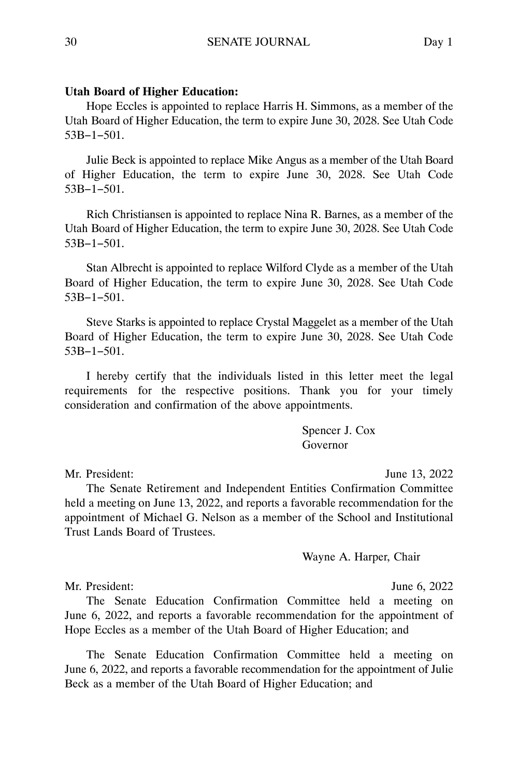Hope Eccles is appointed to replace Harris H. Simmons, as a member of the Utah Board of Higher Education, the term to expire June 30, 2028. See Utah Code 53B−1−501.

Julie Beck is appointed to replace Mike Angus as a member of the Utah Board of Higher Education, the term to expire June 30, 2028. See Utah Code 53B−1−501.

Rich Christiansen is appointed to replace Nina R. Barnes, as a member of the Utah Board of Higher Education, the term to expire June 30, 2028. See Utah Code 53B−1−501.

Stan Albrecht is appointed to replace Wilford Clyde as a member of the Utah Board of Higher Education, the term to expire June 30, 2028. See Utah Code 53B−1−501.

Steve Starks is appointed to replace Crystal Maggelet as a member of the Utah Board of Higher Education, the term to expire June 30, 2028. See Utah Code 53B−1−501.

I hereby certify that the individuals listed in this letter meet the legal requirements for the respective positions. Thank you for your timely consideration and confirmation of the above appointments.

> Spencer J. Cox Governor

Mr. President: June 13, 2022

The Senate Retirement and Independent Entities Confirmation Committee held a meeting on June 13, 2022, and reports a favorable recommendation for the appointment of Michael G. Nelson as a member of the School and Institutional Trust Lands Board of Trustees.

Wayne A. Harper, Chair

Mr. President: June 6, 2022

The Senate Education Confirmation Committee held a meeting on June 6, 2022, and reports a favorable recommendation for the appointment of Hope Eccles as a member of the Utah Board of Higher Education; and

The Senate Education Confirmation Committee held a meeting on June 6, 2022, and reports a favorable recommendation for the appointment of Julie Beck as a member of the Utah Board of Higher Education; and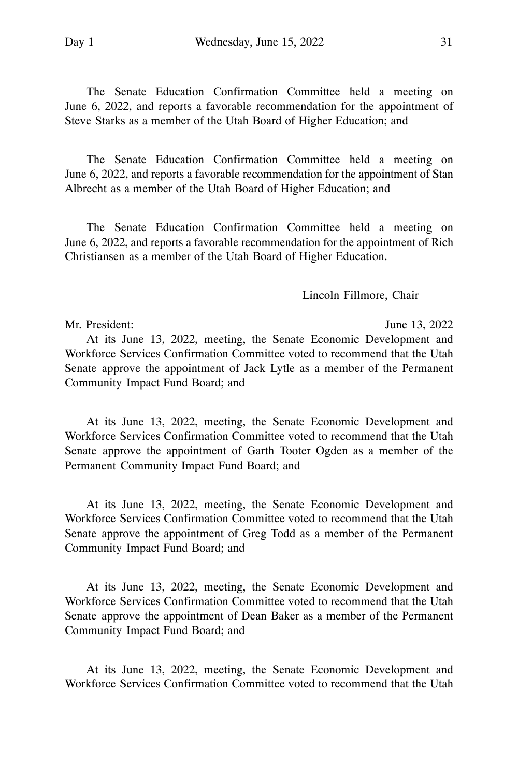The Senate Education Confirmation Committee held a meeting on June 6, 2022, and reports a favorable recommendation for the appointment of Steve Starks as a member of the Utah Board of Higher Education; and

The Senate Education Confirmation Committee held a meeting on June 6, 2022, and reports a favorable recommendation for the appointment of Stan Albrecht as a member of the Utah Board of Higher Education; and

The Senate Education Confirmation Committee held a meeting on June 6, 2022, and reports a favorable recommendation for the appointment of Rich Christiansen as a member of the Utah Board of Higher Education.

Lincoln Fillmore, Chair

Mr. President: June 13, 2022 At its June 13, 2022, meeting, the Senate Economic Development and Workforce Services Confirmation Committee voted to recommend that the Utah Senate approve the appointment of Jack Lytle as a member of the Permanent Community Impact Fund Board; and

At its June 13, 2022, meeting, the Senate Economic Development and Workforce Services Confirmation Committee voted to recommend that the Utah Senate approve the appointment of Garth Tooter Ogden as a member of the Permanent Community Impact Fund Board; and

At its June 13, 2022, meeting, the Senate Economic Development and Workforce Services Confirmation Committee voted to recommend that the Utah Senate approve the appointment of Greg Todd as a member of the Permanent Community Impact Fund Board; and

At its June 13, 2022, meeting, the Senate Economic Development and Workforce Services Confirmation Committee voted to recommend that the Utah Senate approve the appointment of Dean Baker as a member of the Permanent Community Impact Fund Board; and

At its June 13, 2022, meeting, the Senate Economic Development and Workforce Services Confirmation Committee voted to recommend that the Utah